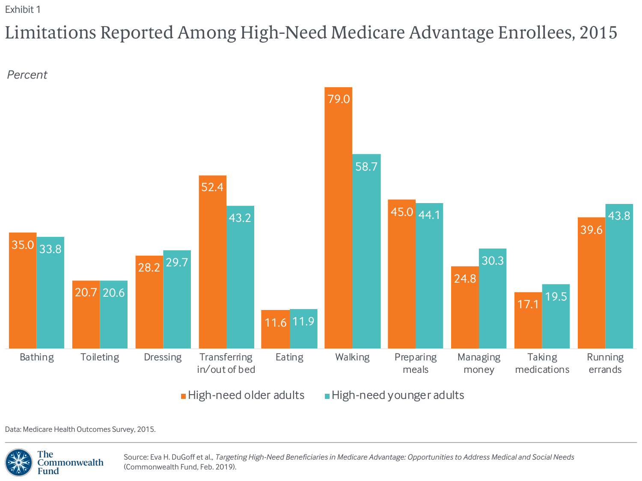# Limitations Reported Among High-Need Medicare Advantage Enrollees, 2015





Data: Medicare Health Outcomes Survey, 2015.

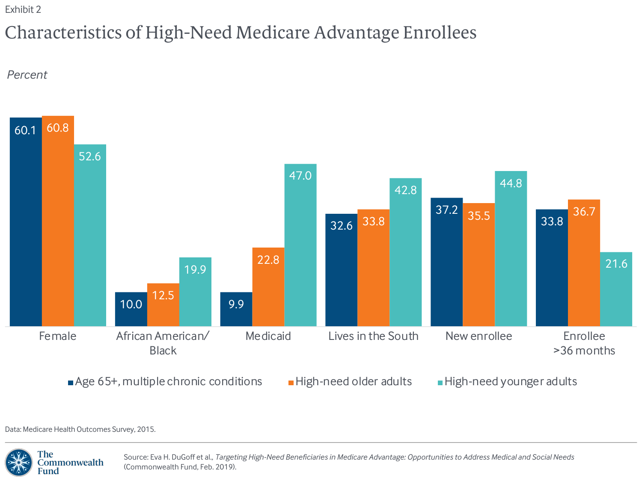# Characteristics of High-Need Medicare Advantage Enrollees

*Percent*



Data: Medicare Health Outcomes Survey, 2015.

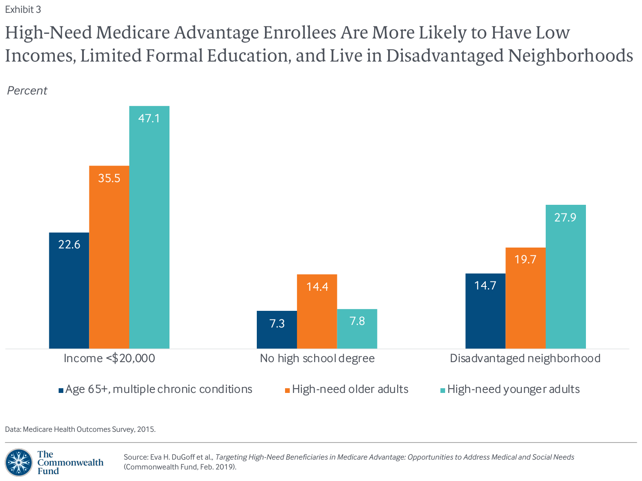High-Need Medicare Advantage Enrollees Are More Likely to Have Low Incomes, Limited Formal Education, and Live in Disadvantaged Neighborhoods





Data: Medicare Health Outcomes Survey, 2015.

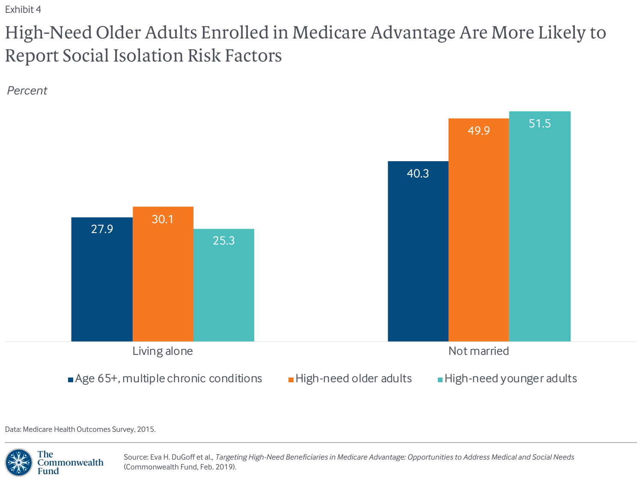# High-Need Older Adults Enrolled in Medicare Advantage Are More Likely to Report Social Isolation Risk Factors

*Percent*



Data: Medicare Health Outcomes Survey, 2015.

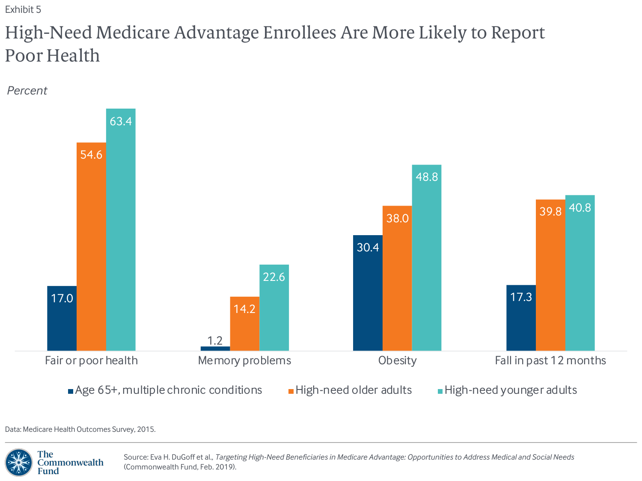## High-Need Medicare Advantage Enrollees Are More Likely to Report Poor Health

*Percent*



Data: Medicare Health Outcomes Survey, 2015.